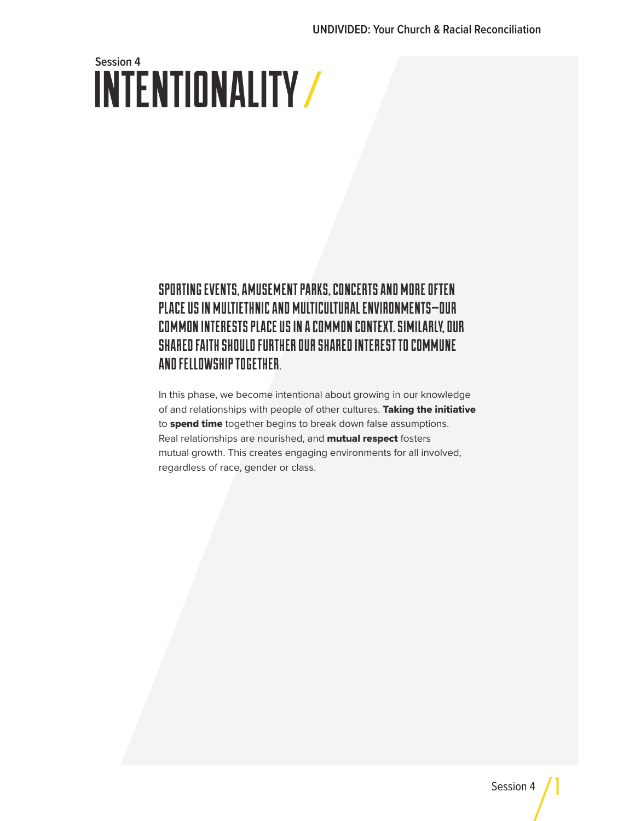# INTENTIONALITY **Session 4**

### SPORTING EVENTS, AMUSEMENT PARKS, CONCERTS AND MORE OFTEN PLACE US IN MULTIETHNIC AND MULTICULTURAL ENVIRONMENTS—OUR COMMON INTERESTS PLACE US IN A COMMON CONTEXT. SIMILARLY, OUR SHARED FAITH SHOULD FURTHER OUR SHARED INTEREST TO COMMUNE AND FELLOWSHIP TOGETHER.

In this phase, we become intentional about growing in our knowledge of and relationships with people of other cultures. Taking the initiative to spend time together begins to break down false assumptions. Real relationships are nourished, and **mutual respect** fosters mutual growth. This creates engaging environments for all involved, regardless of race, gender or class.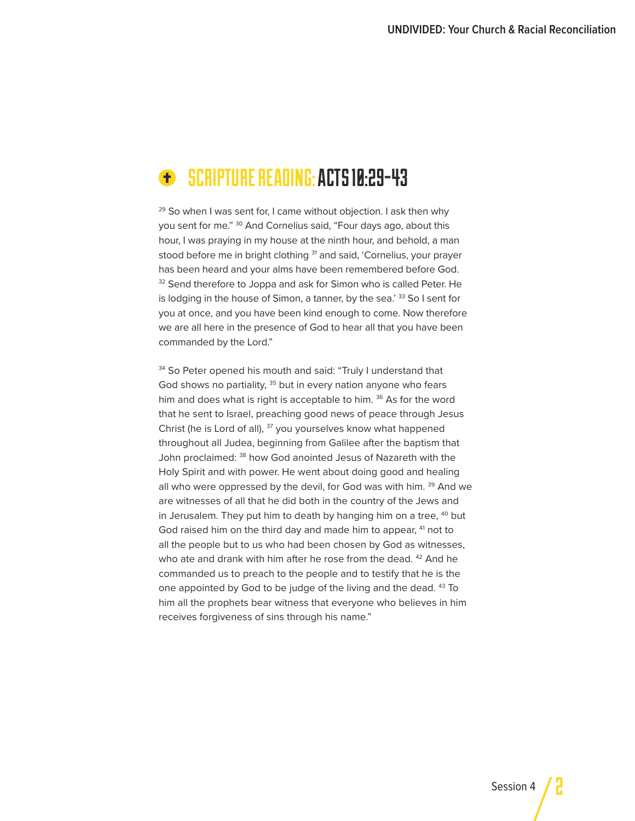## SCRIPTURE READING: ACTS 10:29-43

 $29$  So when I was sent for, I came without objection. I ask then why you sent for me." 30 And Cornelius said, "Four days ago, about this hour, I was praying in my house at the ninth hour, and behold, a man stood before me in bright clothing <sup>31</sup> and said, 'Cornelius, your prayer has been heard and your alms have been remembered before God. 32 Send therefore to Joppa and ask for Simon who is called Peter. He is lodging in the house of Simon, a tanner, by the sea.' 33 So I sent for you at once, and you have been kind enough to come. Now therefore we are all here in the presence of God to hear all that you have been commanded by the Lord."

<sup>34</sup> So Peter opened his mouth and said: "Truly I understand that God shows no partiality, <sup>35</sup> but in every nation anyone who fears him and does what is right is acceptable to him. <sup>36</sup> As for the word that he sent to Israel, preaching good news of peace through Jesus Christ (he is Lord of all), <sup>37</sup> you yourselves know what happened throughout all Judea, beginning from Galilee after the baptism that John proclaimed: <sup>38</sup> how God anointed Jesus of Nazareth with the Holy Spirit and with power. He went about doing good and healing all who were oppressed by the devil, for God was with him. <sup>39</sup> And we are witnesses of all that he did both in the country of the Jews and in Jerusalem. They put him to death by hanging him on a tree,  $40$  but God raised him on the third day and made him to appear, <sup>41</sup> not to all the people but to us who had been chosen by God as witnesses, who ate and drank with him after he rose from the dead. <sup>42</sup> And he commanded us to preach to the people and to testify that he is the one appointed by God to be judge of the living and the dead. 43 To him all the prophets bear witness that everyone who believes in him receives forgiveness of sins through his name."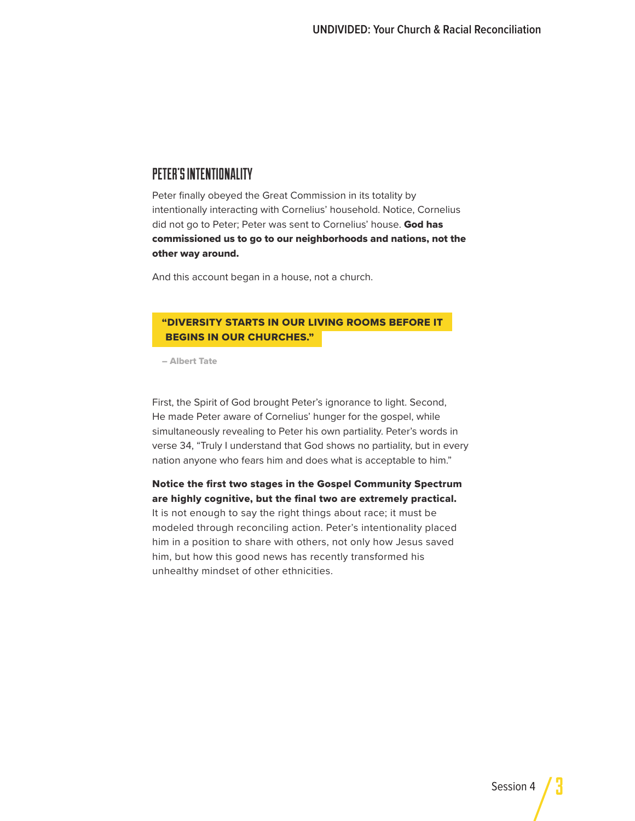#### PETER'S INTENTIONALITY

Peter finally obeyed the Great Commission in its totality by intentionally interacting with Cornelius' household. Notice, Cornelius did not go to Peter; Peter was sent to Cornelius' house. God has commissioned us to go to our neighborhoods and nations, not the other way around.

And this account began in a house, not a church.

#### "DIVERSITY STARTS IN OUR LIVING ROOMS BEFORE IT BEGINS IN OUR CHURCHES."

– Albert Tate

First, the Spirit of God brought Peter's ignorance to light. Second, He made Peter aware of Cornelius' hunger for the gospel, while simultaneously revealing to Peter his own partiality. Peter's words in verse 34, "Truly I understand that God shows no partiality, but in every nation anyone who fears him and does what is acceptable to him."

Notice the first two stages in the Gospel Community Spectrum are highly cognitive, but the final two are extremely practical. It is not enough to say the right things about race; it must be modeled through reconciling action. Peter's intentionality placed him in a position to share with others, not only how Jesus saved him, but how this good news has recently transformed his unhealthy mindset of other ethnicities.